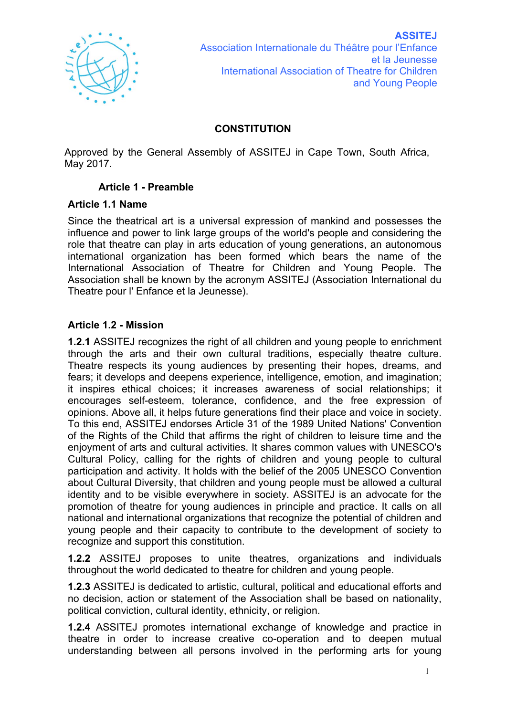

# **CONSTITUTION**

Approved by the General Assembly of ASSITEJ in Cape Town, South Africa, May 2017.

## **Article 1 - Preamble**

#### **Article 1.1 Name**

Since the theatrical art is a universal expression of mankind and possesses the influence and power to link large groups of the world's people and considering the role that theatre can play in arts education of young generations, an autonomous international organization has been formed which bears the name of the International Association of Theatre for Children and Young People. The Association shall be known by the acronym ASSITEJ (Association International du Theatre pour l' Enfance et la Jeunesse).

## **Article 1.2 - Mission**

**1.2.1** ASSITEJ recognizes the right of all children and young people to enrichment through the arts and their own cultural traditions, especially theatre culture. Theatre respects its young audiences by presenting their hopes, dreams, and fears; it develops and deepens experience, intelligence, emotion, and imagination; it inspires ethical choices; it increases awareness of social relationships; it encourages self-esteem, tolerance, confidence, and the free expression of opinions. Above all, it helps future generations find their place and voice in society. To this end, ASSITEJ endorses Article 31 of the 1989 United Nations' Convention of the Rights of the Child that affirms the right of children to leisure time and the enjoyment of arts and cultural activities. It shares common values with UNESCO's Cultural Policy, calling for the rights of children and young people to cultural participation and activity. It holds with the belief of the 2005 UNESCO Convention about Cultural Diversity, that children and young people must be allowed a cultural identity and to be visible everywhere in society. ASSITEJ is an advocate for the promotion of theatre for young audiences in principle and practice. It calls on all national and international organizations that recognize the potential of children and young people and their capacity to contribute to the development of society to recognize and support this constitution.

**1.2.2** ASSITEJ proposes to unite theatres, organizations and individuals throughout the world dedicated to theatre for children and young people.

**1.2.3** ASSITEJ is dedicated to artistic, cultural, political and educational efforts and no decision, action or statement of the Association shall be based on nationality, political conviction, cultural identity, ethnicity, or religion.

**1.2.4** ASSITEJ promotes international exchange of knowledge and practice in theatre in order to increase creative co-operation and to deepen mutual understanding between all persons involved in the performing arts for young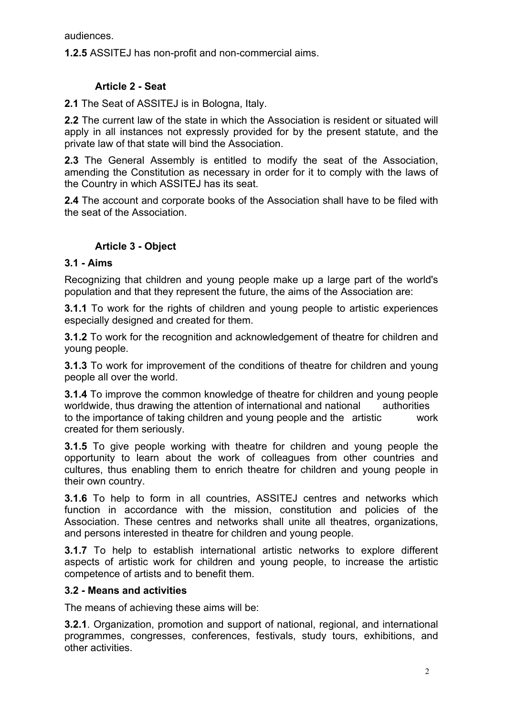audiences.

**1.2.5** ASSITEJ has non-profit and non-commercial aims.

# **Article 2 - Seat**

**2.1** The Seat of ASSITEJ is in Bologna, Italy.

**2.2** The current law of the state in which the Association is resident or situated will apply in all instances not expressly provided for by the present statute, and the private law of that state will bind the Association.

**2.3** The General Assembly is entitled to modify the seat of the Association, amending the Constitution as necessary in order for it to comply with the laws of the Country in which ASSITEJ has its seat.

**2.4** The account and corporate books of the Association shall have to be filed with the seat of the Association.

# **Article 3 - Object**

## **3.1 - Aims**

Recognizing that children and young people make up a large part of the world's population and that they represent the future, the aims of the Association are:

**3.1.1** To work for the rights of children and young people to artistic experiences especially designed and created for them.

**3.1.2** To work for the recognition and acknowledgement of theatre for children and young people.

**3.1.3** To work for improvement of the conditions of theatre for children and young people all over the world.

**3.1.4** To improve the common knowledge of theatre for children and young people worldwide, thus drawing the attention of international and national authorities to the importance of taking children and young people and the artistic work created for them seriously.

**3.1.5** To give people working with theatre for children and young people the opportunity to learn about the work of colleagues from other countries and cultures, thus enabling them to enrich theatre for children and young people in their own country.

**3.1.6** To help to form in all countries, ASSITEJ centres and networks which function in accordance with the mission, constitution and policies of the Association. These centres and networks shall unite all theatres, organizations, and persons interested in theatre for children and young people.

**3.1.7** To help to establish international artistic networks to explore different aspects of artistic work for children and young people, to increase the artistic competence of artists and to benefit them.

#### **3.2 - Means and activities**

The means of achieving these aims will be:

**3.2.1**. Organization, promotion and support of national, regional, and international programmes, congresses, conferences, festivals, study tours, exhibitions, and other activities.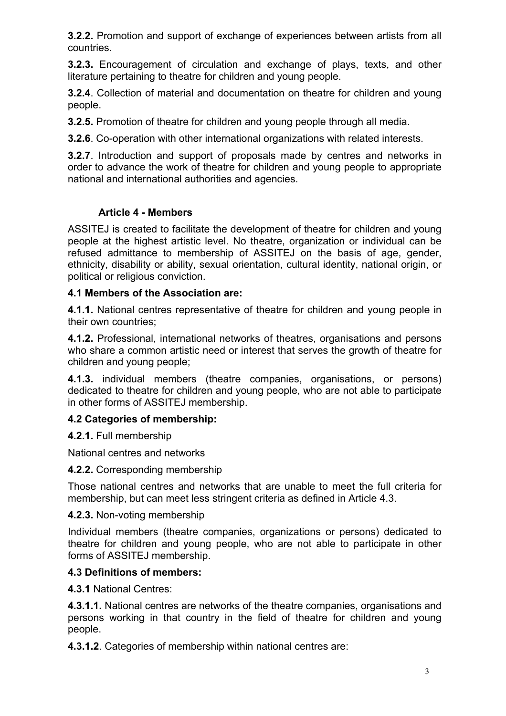**3.2.2.** Promotion and support of exchange of experiences between artists from all countries.

**3.2.3.** Encouragement of circulation and exchange of plays, texts, and other literature pertaining to theatre for children and young people.

**3.2.4**. Collection of material and documentation on theatre for children and young people.

**3.2.5.** Promotion of theatre for children and young people through all media.

**3.2.6**. Co-operation with other international organizations with related interests.

**3.2.7**. Introduction and support of proposals made by centres and networks in order to advance the work of theatre for children and young people to appropriate national and international authorities and agencies.

# **Article 4 - Members**

ASSITEJ is created to facilitate the development of theatre for children and young people at the highest artistic level. No theatre, organization or individual can be refused admittance to membership of ASSITEJ on the basis of age, gender, ethnicity, disability or ability, sexual orientation, cultural identity, national origin, or political or religious conviction.

# **4.1 Members of the Association are:**

**4.1.1.** National centres representative of theatre for children and young people in their own countries;

**4.1.2.** Professional, international networks of theatres, organisations and persons who share a common artistic need or interest that serves the growth of theatre for children and young people;

**4.1.3.** individual members (theatre companies, organisations, or persons) dedicated to theatre for children and young people, who are not able to participate in other forms of ASSITEJ membership.

# **4.2 Categories of membership:**

**4.2.1.** Full membership

National centres and networks

**4.2.2.** Corresponding membership

Those national centres and networks that are unable to meet the full criteria for membership, but can meet less stringent criteria as defined in Article 4.3.

# **4.2.3.** Non-voting membership

Individual members (theatre companies, organizations or persons) dedicated to theatre for children and young people, who are not able to participate in other forms of ASSITEJ membership.

# **4.3 Definitions of members:**

**4.3.1** National Centres:

**4.3.1.1.** National centres are networks of the theatre companies, organisations and persons working in that country in the field of theatre for children and young people.

**4.3.1.2**. Categories of membership within national centres are: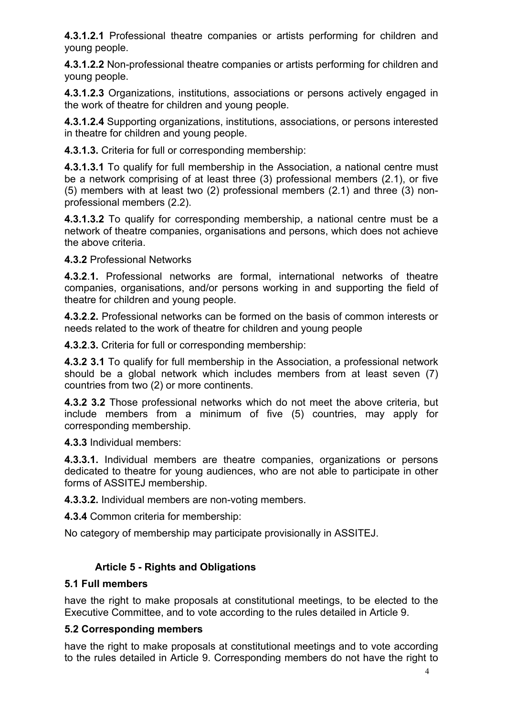**4.3.1.2.1** Professional theatre companies or artists performing for children and young people.

**4.3.1.2.2** Non-professional theatre companies or artists performing for children and young people.

**4.3.1.2.3** Organizations, institutions, associations or persons actively engaged in the work of theatre for children and young people.

**4.3.1.2.4** Supporting organizations, institutions, associations, or persons interested in theatre for children and young people.

**4.3.1.3.** Criteria for full or corresponding membership:

**4.3.1.3.1** To qualify for full membership in the Association, a national centre must be a network comprising of at least three (3) professional members (2.1), or five (5) members with at least two (2) professional members (2.1) and three (3) nonprofessional members (2.2).

**4.3.1.3.2** To qualify for corresponding membership, a national centre must be a network of theatre companies, organisations and persons, which does not achieve the above criteria.

**4.3.2** Professional Networks

**4.3.2**.**1.** Professional networks are formal, international networks of theatre companies, organisations, and/or persons working in and supporting the field of theatre for children and young people.

**4.3.2**.**2.** Professional networks can be formed on the basis of common interests or needs related to the work of theatre for children and young people

**4.3.2**.**3.** Criteria for full or corresponding membership:

**4.3.2 3.1** To qualify for full membership in the Association, a professional network should be a global network which includes members from at least seven (7) countries from two (2) or more continents.

**4.3.2 3.2** Those professional networks which do not meet the above criteria, but include members from a minimum of five (5) countries, may apply for corresponding membership.

**4.3.3** Individual members:

**4.3.3.1.** Individual members are theatre companies, organizations or persons dedicated to theatre for young audiences, who are not able to participate in other forms of ASSITEJ membership.

**4.3.3.2.** Individual members are non-voting members.

**4.3.4** Common criteria for membership:

No category of membership may participate provisionally in ASSITEJ.

# **Article 5 - Rights and Obligations**

# **5.1 Full members**

have the right to make proposals at constitutional meetings, to be elected to the Executive Committee, and to vote according to the rules detailed in Article 9.

# **5.2 Corresponding members**

have the right to make proposals at constitutional meetings and to vote according to the rules detailed in Article 9. Corresponding members do not have the right to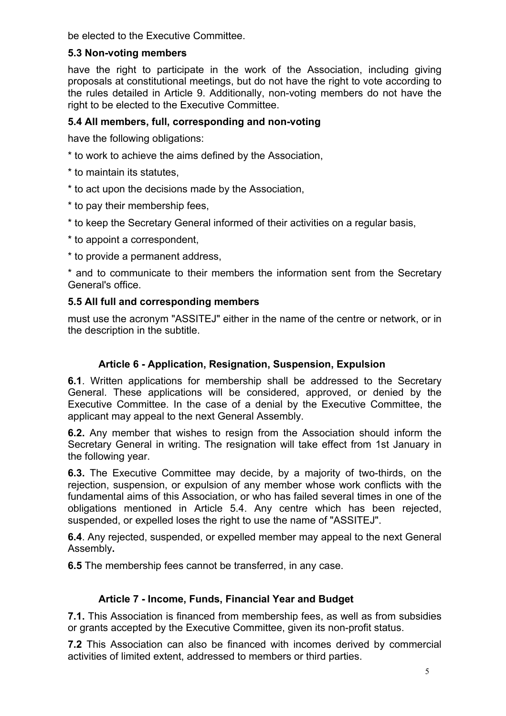be elected to the Executive Committee.

# **5.3 Non-voting members**

have the right to participate in the work of the Association, including giving proposals at constitutional meetings, but do not have the right to vote according to the rules detailed in Article 9. Additionally, non-voting members do not have the right to be elected to the Executive Committee.

# **5.4 All members, full, corresponding and non-voting**

have the following obligations:

- \* to work to achieve the aims defined by the Association,
- \* to maintain its statutes,
- \* to act upon the decisions made by the Association,
- \* to pay their membership fees,
- \* to keep the Secretary General informed of their activities on a regular basis,
- \* to appoint a correspondent,
- \* to provide a permanent address,

\* and to communicate to their members the information sent from the Secretary General's office.

# **5.5 All full and corresponding members**

must use the acronym "ASSITEJ" either in the name of the centre or network, or in the description in the subtitle.

# **Article 6 - Application, Resignation, Suspension, Expulsion**

**6.1**. Written applications for membership shall be addressed to the Secretary General. These applications will be considered, approved, or denied by the Executive Committee. In the case of a denial by the Executive Committee, the applicant may appeal to the next General Assembly.

**6.2.** Any member that wishes to resign from the Association should inform the Secretary General in writing. The resignation will take effect from 1st January in the following year.

**6.3.** The Executive Committee may decide, by a majority of two-thirds, on the rejection, suspension, or expulsion of any member whose work conflicts with the fundamental aims of this Association, or who has failed several times in one of the obligations mentioned in Article 5.4. Any centre which has been rejected, suspended, or expelled loses the right to use the name of "ASSITEJ".

**6.4**. Any rejected, suspended, or expelled member may appeal to the next General Assembly**.**

**6.5** The membership fees cannot be transferred, in any case.

# **Article 7 - Income, Funds, Financial Year and Budget**

**7.1.** This Association is financed from membership fees, as well as from subsidies or grants accepted by the Executive Committee, given its non-profit status.

**7.2** This Association can also be financed with incomes derived by commercial activities of limited extent, addressed to members or third parties.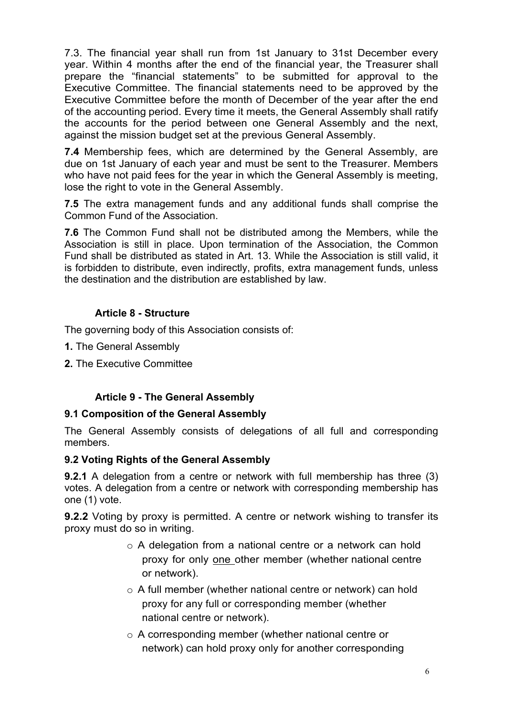7.3. The financial year shall run from 1st January to 31st December every year. Within 4 months after the end of the financial year, the Treasurer shall prepare the "financial statements" to be submitted for approval to the Executive Committee. The financial statements need to be approved by the Executive Committee before the month of December of the year after the end of the accounting period. Every time it meets, the General Assembly shall ratify the accounts for the period between one General Assembly and the next, against the mission budget set at the previous General Assembly.

**7.4** Membership fees, which are determined by the General Assembly, are due on 1st January of each year and must be sent to the Treasurer. Members who have not paid fees for the year in which the General Assembly is meeting, lose the right to vote in the General Assembly.

**7.5** The extra management funds and any additional funds shall comprise the Common Fund of the Association.

**7.6** The Common Fund shall not be distributed among the Members, while the Association is still in place. Upon termination of the Association, the Common Fund shall be distributed as stated in Art. 13. While the Association is still valid, it is forbidden to distribute, even indirectly, profits, extra management funds, unless the destination and the distribution are established by law.

## **Article 8 - Structure**

The governing body of this Association consists of:

- **1.** The General Assembly
- **2.** The Executive Committee

# **Article 9 - The General Assembly**

#### **9.1 Composition of the General Assembly**

The General Assembly consists of delegations of all full and corresponding members.

#### **9.2 Voting Rights of the General Assembly**

**9.2.1** A delegation from a centre or network with full membership has three (3) votes. A delegation from a centre or network with corresponding membership has one (1) vote.

**9.2.2** Voting by proxy is permitted. A centre or network wishing to transfer its proxy must do so in writing.

- o A delegation from a national centre or a network can hold proxy for only one other member (whether national centre or network).
- o A full member (whether national centre or network) can hold proxy for any full or corresponding member (whether national centre or network).
- o A corresponding member (whether national centre or network) can hold proxy only for another corresponding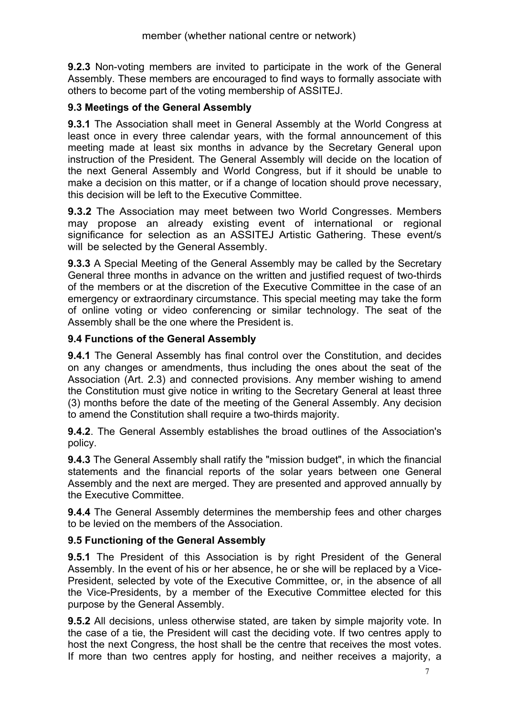**9.2.3** Non-voting members are invited to participate in the work of the General Assembly. These members are encouraged to find ways to formally associate with others to become part of the voting membership of ASSITEJ.

# **9.3 Meetings of the General Assembly**

**9.3.1** The Association shall meet in General Assembly at the World Congress at least once in every three calendar years, with the formal announcement of this meeting made at least six months in advance by the Secretary General upon instruction of the President. The General Assembly will decide on the location of the next General Assembly and World Congress, but if it should be unable to make a decision on this matter, or if a change of location should prove necessary, this decision will be left to the Executive Committee.

**9.3.2** The Association may meet between two World Congresses. Members may propose an already existing event of international or regional significance for selection as an ASSITEJ Artistic Gathering. These event/s will be selected by the General Assembly.

**9.3.3** A Special Meeting of the General Assembly may be called by the Secretary General three months in advance on the written and justified request of two-thirds of the members or at the discretion of the Executive Committee in the case of an emergency or extraordinary circumstance. This special meeting may take the form of online voting or video conferencing or similar technology. The seat of the Assembly shall be the one where the President is.

## **9.4 Functions of the General Assembly**

**9.4.1** The General Assembly has final control over the Constitution, and decides on any changes or amendments, thus including the ones about the seat of the Association (Art. 2.3) and connected provisions. Any member wishing to amend the Constitution must give notice in writing to the Secretary General at least three (3) months before the date of the meeting of the General Assembly. Any decision to amend the Constitution shall require a two-thirds majority.

**9.4.2**. The General Assembly establishes the broad outlines of the Association's policy.

**9.4.3** The General Assembly shall ratify the "mission budget", in which the financial statements and the financial reports of the solar years between one General Assembly and the next are merged. They are presented and approved annually by the Executive Committee.

**9.4.4** The General Assembly determines the membership fees and other charges to be levied on the members of the Association.

# **9.5 Functioning of the General Assembly**

**9.5.1** The President of this Association is by right President of the General Assembly. In the event of his or her absence, he or she will be replaced by a Vice-President, selected by vote of the Executive Committee, or, in the absence of all the Vice-Presidents, by a member of the Executive Committee elected for this purpose by the General Assembly.

**9.5.2** All decisions, unless otherwise stated, are taken by simple majority vote. In the case of a tie, the President will cast the deciding vote. If two centres apply to host the next Congress, the host shall be the centre that receives the most votes. If more than two centres apply for hosting, and neither receives a majority, a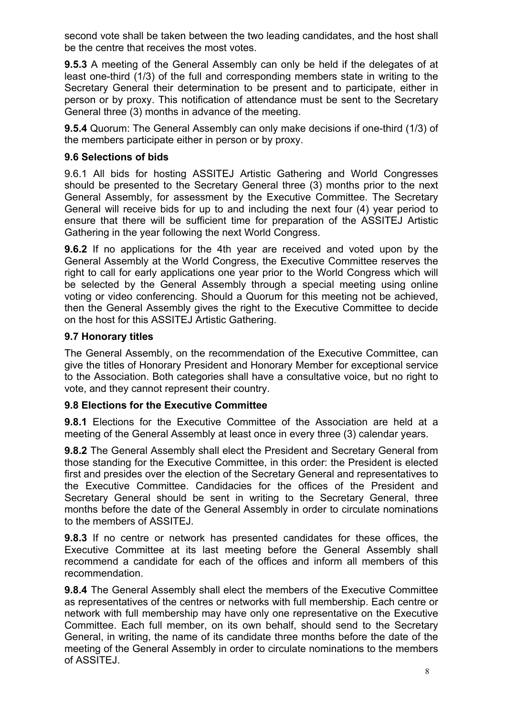second vote shall be taken between the two leading candidates, and the host shall be the centre that receives the most votes.

**9.5.3** A meeting of the General Assembly can only be held if the delegates of at least one-third (1/3) of the full and corresponding members state in writing to the Secretary General their determination to be present and to participate, either in person or by proxy. This notification of attendance must be sent to the Secretary General three (3) months in advance of the meeting.

**9.5.4** Quorum: The General Assembly can only make decisions if one-third (1/3) of the members participate either in person or by proxy.

## **9.6 Selections of bids**

9.6.1 All bids for hosting ASSITEJ Artistic Gathering and World Congresses should be presented to the Secretary General three (3) months prior to the next General Assembly, for assessment by the Executive Committee. The Secretary General will receive bids for up to and including the next four (4) year period to ensure that there will be sufficient time for preparation of the ASSITEJ Artistic Gathering in the year following the next World Congress.

**9.6.2** If no applications for the 4th year are received and voted upon by the General Assembly at the World Congress, the Executive Committee reserves the right to call for early applications one year prior to the World Congress which will be selected by the General Assembly through a special meeting using online voting or video conferencing. Should a Quorum for this meeting not be achieved, then the General Assembly gives the right to the Executive Committee to decide on the host for this ASSITEJ Artistic Gathering.

## **9.7 Honorary titles**

The General Assembly, on the recommendation of the Executive Committee, can give the titles of Honorary President and Honorary Member for exceptional service to the Association. Both categories shall have a consultative voice, but no right to vote, and they cannot represent their country.

#### **9.8 Elections for the Executive Committee**

**9.8.1** Elections for the Executive Committee of the Association are held at a meeting of the General Assembly at least once in every three (3) calendar years.

**9.8.2** The General Assembly shall elect the President and Secretary General from those standing for the Executive Committee, in this order: the President is elected first and presides over the election of the Secretary General and representatives to the Executive Committee. Candidacies for the offices of the President and Secretary General should be sent in writing to the Secretary General, three months before the date of the General Assembly in order to circulate nominations to the members of ASSITEJ.

**9.8.3** If no centre or network has presented candidates for these offices, the Executive Committee at its last meeting before the General Assembly shall recommend a candidate for each of the offices and inform all members of this recommendation.

**9.8.4** The General Assembly shall elect the members of the Executive Committee as representatives of the centres or networks with full membership. Each centre or network with full membership may have only one representative on the Executive Committee. Each full member, on its own behalf, should send to the Secretary General, in writing, the name of its candidate three months before the date of the meeting of the General Assembly in order to circulate nominations to the members of ASSITEJ.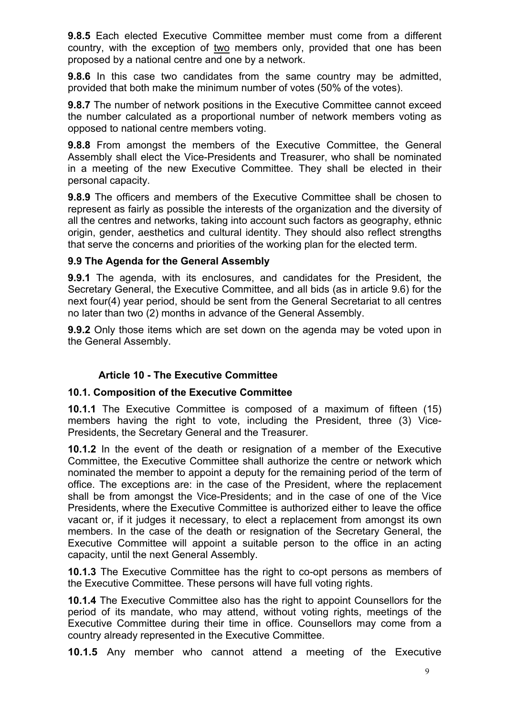**9.8.5** Each elected Executive Committee member must come from a different country, with the exception of two members only, provided that one has been proposed by a national centre and one by a network.

**9.8.6** In this case two candidates from the same country may be admitted, provided that both make the minimum number of votes (50% of the votes).

**9.8.7** The number of network positions in the Executive Committee cannot exceed the number calculated as a proportional number of network members voting as opposed to national centre members voting.

**9.8.8** From amongst the members of the Executive Committee, the General Assembly shall elect the Vice-Presidents and Treasurer, who shall be nominated in a meeting of the new Executive Committee. They shall be elected in their personal capacity.

**9.8.9** The officers and members of the Executive Committee shall be chosen to represent as fairly as possible the interests of the organization and the diversity of all the centres and networks, taking into account such factors as geography, ethnic origin, gender, aesthetics and cultural identity. They should also reflect strengths that serve the concerns and priorities of the working plan for the elected term.

#### **9.9 The Agenda for the General Assembly**

**9.9.1** The agenda, with its enclosures, and candidates for the President, the Secretary General, the Executive Committee, and all bids (as in article 9.6) for the next four(4) year period, should be sent from the General Secretariat to all centres no later than two (2) months in advance of the General Assembly.

**9.9.2** Only those items which are set down on the agenda may be voted upon in the General Assembly.

# **Article 10 - The Executive Committee**

#### **10.1. Composition of the Executive Committee**

**10.1.1** The Executive Committee is composed of a maximum of fifteen (15) members having the right to vote, including the President, three (3) Vice-Presidents, the Secretary General and the Treasurer.

**10.1.2** In the event of the death or resignation of a member of the Executive Committee, the Executive Committee shall authorize the centre or network which nominated the member to appoint a deputy for the remaining period of the term of office. The exceptions are: in the case of the President, where the replacement shall be from amongst the Vice-Presidents; and in the case of one of the Vice Presidents, where the Executive Committee is authorized either to leave the office vacant or, if it judges it necessary, to elect a replacement from amongst its own members. In the case of the death or resignation of the Secretary General, the Executive Committee will appoint a suitable person to the office in an acting capacity, until the next General Assembly.

**10.1.3** The Executive Committee has the right to co-opt persons as members of the Executive Committee. These persons will have full voting rights.

**10.1.4** The Executive Committee also has the right to appoint Counsellors for the period of its mandate, who may attend, without voting rights, meetings of the Executive Committee during their time in office. Counsellors may come from a country already represented in the Executive Committee.

**10.1.5** Any member who cannot attend a meeting of the Executive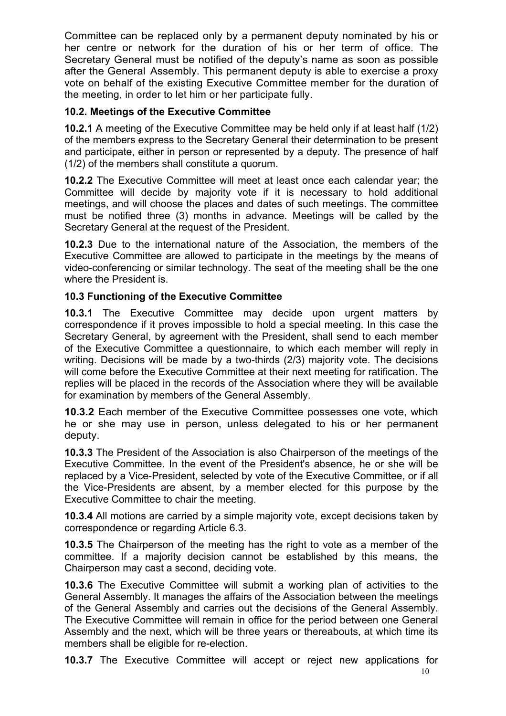Committee can be replaced only by a permanent deputy nominated by his or her centre or network for the duration of his or her term of office. The Secretary General must be notified of the deputy's name as soon as possible after the General Assembly. This permanent deputy is able to exercise a proxy vote on behalf of the existing Executive Committee member for the duration of the meeting, in order to let him or her participate fully.

# **10.2. Meetings of the Executive Committee**

**10.2.1** A meeting of the Executive Committee may be held only if at least half (1/2) of the members express to the Secretary General their determination to be present and participate, either in person or represented by a deputy. The presence of half (1/2) of the members shall constitute a quorum.

**10.2.2** The Executive Committee will meet at least once each calendar year; the Committee will decide by majority vote if it is necessary to hold additional meetings, and will choose the places and dates of such meetings. The committee must be notified three (3) months in advance. Meetings will be called by the Secretary General at the request of the President.

**10.2.3** Due to the international nature of the Association, the members of the Executive Committee are allowed to participate in the meetings by the means of video-conferencing or similar technology. The seat of the meeting shall be the one where the President is.

# **10.3 Functioning of the Executive Committee**

**10.3.1** The Executive Committee may decide upon urgent matters by correspondence if it proves impossible to hold a special meeting. In this case the Secretary General, by agreement with the President, shall send to each member of the Executive Committee a questionnaire, to which each member will reply in writing. Decisions will be made by a two-thirds (2/3) majority vote. The decisions will come before the Executive Committee at their next meeting for ratification. The replies will be placed in the records of the Association where they will be available for examination by members of the General Assembly.

**10.3.2** Each member of the Executive Committee possesses one vote, which he or she may use in person, unless delegated to his or her permanent deputy.

**10.3.3** The President of the Association is also Chairperson of the meetings of the Executive Committee. In the event of the President's absence, he or she will be replaced by a Vice-President, selected by vote of the Executive Committee, or if all the Vice-Presidents are absent, by a member elected for this purpose by the Executive Committee to chair the meeting.

**10.3.4** All motions are carried by a simple majority vote, except decisions taken by correspondence or regarding Article 6.3.

**10.3.5** The Chairperson of the meeting has the right to vote as a member of the committee. If a majority decision cannot be established by this means, the Chairperson may cast a second, deciding vote.

**10.3.6** The Executive Committee will submit a working plan of activities to the General Assembly. It manages the affairs of the Association between the meetings of the General Assembly and carries out the decisions of the General Assembly. The Executive Committee will remain in office for the period between one General Assembly and the next, which will be three years or thereabouts, at which time its members shall be eligible for re-election.

**10.3.7** The Executive Committee will accept or reject new applications for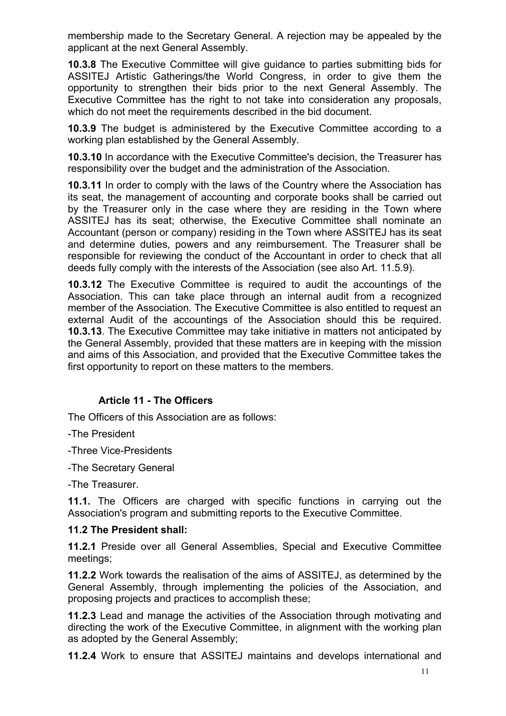membership made to the Secretary General. A rejection may be appealed by the applicant at the next General Assembly.

**10.3.8** The Executive Committee will give guidance to parties submitting bids for ASSITEJ Artistic Gatherings/the World Congress, in order to give them the opportunity to strengthen their bids prior to the next General Assembly. The Executive Committee has the right to not take into consideration any proposals, which do not meet the requirements described in the bid document.

**10.3.9** The budget is administered by the Executive Committee according to a working plan established by the General Assembly.

**10.3.10** In accordance with the Executive Committee's decision, the Treasurer has responsibility over the budget and the administration of the Association.

**10.3.11** In order to comply with the laws of the Country where the Association has its seat, the management of accounting and corporate books shall be carried out by the Treasurer only in the case where they are residing in the Town where ASSITEJ has its seat; otherwise, the Executive Committee shall nominate an Accountant (person or company) residing in the Town where ASSITEJ has its seat and determine duties, powers and any reimbursement. The Treasurer shall be responsible for reviewing the conduct of the Accountant in order to check that all deeds fully comply with the interests of the Association (see also Art. 11.5.9).

**10.3.12** The Executive Committee is required to audit the accountings of the Association. This can take place through an internal audit from a recognized member of the Association. The Executive Committee is also entitled to request an external Audit of the accountings of the Association should this be required. **10.3.13**. The Executive Committee may take initiative in matters not anticipated by the General Assembly, provided that these matters are in keeping with the mission and aims of this Association, and provided that the Executive Committee takes the first opportunity to report on these matters to the members.

#### **Article 11 - The Officers**

The Officers of this Association are as follows:

-The President

-Three Vice-Presidents

-The Secretary General

-The Treasurer.

**11.1.** The Officers are charged with specific functions in carrying out the Association's program and submitting reports to the Executive Committee.

#### **11.2 The President shall:**

**11.2.1** Preside over all General Assemblies, Special and Executive Committee meetings;

**11.2.2** Work towards the realisation of the aims of ASSITEJ, as determined by the General Assembly, through implementing the policies of the Association, and proposing projects and practices to accomplish these;

**11.2.3** Lead and manage the activities of the Association through motivating and directing the work of the Executive Committee, in alignment with the working plan as adopted by the General Assembly;

**11.2.4** Work to ensure that ASSITEJ maintains and develops international and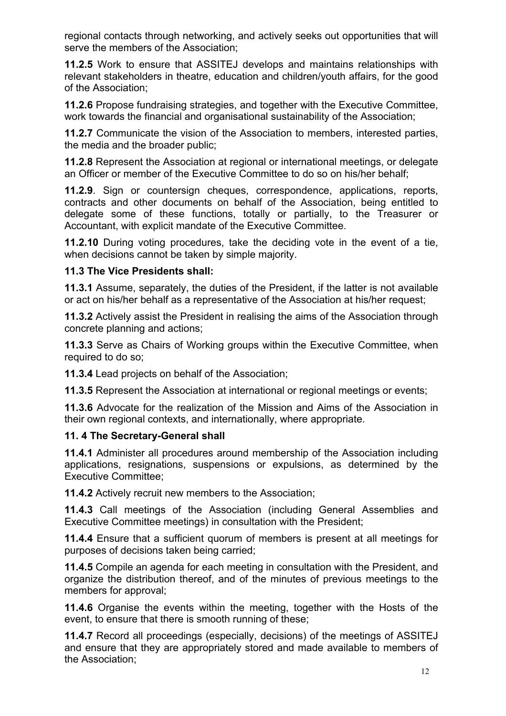regional contacts through networking, and actively seeks out opportunities that will serve the members of the Association;

**11.2.5** Work to ensure that ASSITEJ develops and maintains relationships with relevant stakeholders in theatre, education and children/youth affairs, for the good of the Association;

**11.2.6** Propose fundraising strategies, and together with the Executive Committee, work towards the financial and organisational sustainability of the Association;

**11.2.7** Communicate the vision of the Association to members, interested parties, the media and the broader public;

**11.2.8** Represent the Association at regional or international meetings, or delegate an Officer or member of the Executive Committee to do so on his/her behalf;

**11.2.9**. Sign or countersign cheques, correspondence, applications, reports, contracts and other documents on behalf of the Association, being entitled to delegate some of these functions, totally or partially, to the Treasurer or Accountant, with explicit mandate of the Executive Committee.

**11.2.10** During voting procedures, take the deciding vote in the event of a tie, when decisions cannot be taken by simple majority.

## **11.3 The Vice Presidents shall:**

**11.3.1** Assume, separately, the duties of the President, if the latter is not available or act on his/her behalf as a representative of the Association at his/her request;

**11.3.2** Actively assist the President in realising the aims of the Association through concrete planning and actions;

**11.3.3** Serve as Chairs of Working groups within the Executive Committee, when required to do so;

**11.3.4** Lead projects on behalf of the Association;

**11.3.5** Represent the Association at international or regional meetings or events;

**11.3.6** Advocate for the realization of the Mission and Aims of the Association in their own regional contexts, and internationally, where appropriate.

# **11. 4 The Secretary-General shall**

**11.4.1** Administer all procedures around membership of the Association including applications, resignations, suspensions or expulsions, as determined by the Executive Committee;

**11.4.2** Actively recruit new members to the Association;

**11.4.3** Call meetings of the Association (including General Assemblies and Executive Committee meetings) in consultation with the President;

**11.4.4** Ensure that a sufficient quorum of members is present at all meetings for purposes of decisions taken being carried;

**11.4.5** Compile an agenda for each meeting in consultation with the President, and organize the distribution thereof, and of the minutes of previous meetings to the members for approval;

**11.4.6** Organise the events within the meeting, together with the Hosts of the event, to ensure that there is smooth running of these;

**11.4.7** Record all proceedings (especially, decisions) of the meetings of ASSITEJ and ensure that they are appropriately stored and made available to members of the Association;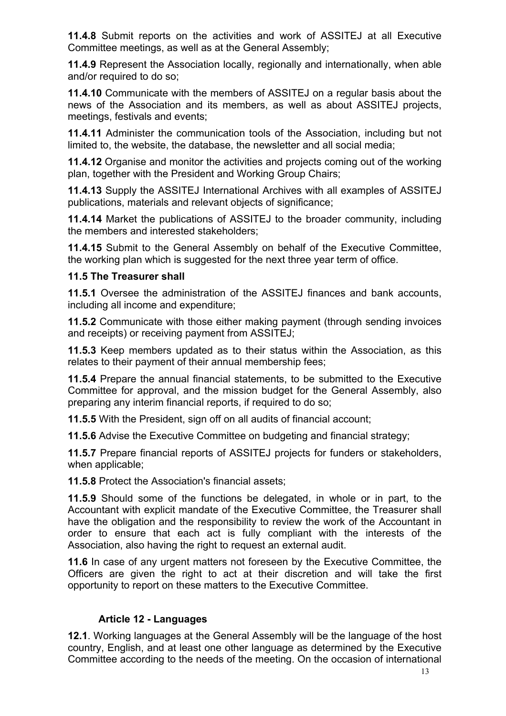**11.4.8** Submit reports on the activities and work of ASSITEJ at all Executive Committee meetings, as well as at the General Assembly;

**11.4.9** Represent the Association locally, regionally and internationally, when able and/or required to do so;

**11.4.10** Communicate with the members of ASSITEJ on a regular basis about the news of the Association and its members, as well as about ASSITEJ projects, meetings, festivals and events;

**11.4.11** Administer the communication tools of the Association, including but not limited to, the website, the database, the newsletter and all social media;

**11.4.12** Organise and monitor the activities and projects coming out of the working plan, together with the President and Working Group Chairs;

**11.4.13** Supply the ASSITEJ International Archives with all examples of ASSITEJ publications, materials and relevant objects of significance;

**11.4.14** Market the publications of ASSITEJ to the broader community, including the members and interested stakeholders;

**11.4.15** Submit to the General Assembly on behalf of the Executive Committee, the working plan which is suggested for the next three year term of office.

## **11.5 The Treasurer shall**

**11.5.1** Oversee the administration of the ASSITEJ finances and bank accounts, including all income and expenditure;

**11.5.2** Communicate with those either making payment (through sending invoices and receipts) or receiving payment from ASSITEJ;

**11.5.3** Keep members updated as to their status within the Association, as this relates to their payment of their annual membership fees;

**11.5.4** Prepare the annual financial statements, to be submitted to the Executive Committee for approval, and the mission budget for the General Assembly, also preparing any interim financial reports, if required to do so;

**11.5.5** With the President, sign off on all audits of financial account;

**11.5.6** Advise the Executive Committee on budgeting and financial strategy;

**11.5.7** Prepare financial reports of ASSITEJ projects for funders or stakeholders, when applicable;

**11.5.8** Protect the Association's financial assets;

**11.5.9** Should some of the functions be delegated, in whole or in part, to the Accountant with explicit mandate of the Executive Committee, the Treasurer shall have the obligation and the responsibility to review the work of the Accountant in order to ensure that each act is fully compliant with the interests of the Association, also having the right to request an external audit.

**11.6** In case of any urgent matters not foreseen by the Executive Committee, the Officers are given the right to act at their discretion and will take the first opportunity to report on these matters to the Executive Committee.

# **Article 12 - Languages**

**12.1**. Working languages at the General Assembly will be the language of the host country, English, and at least one other language as determined by the Executive Committee according to the needs of the meeting. On the occasion of international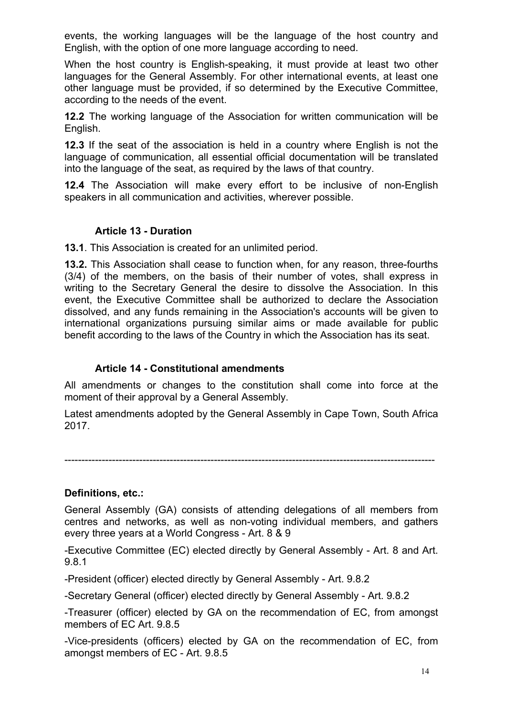events, the working languages will be the language of the host country and English, with the option of one more language according to need.

When the host country is English-speaking, it must provide at least two other languages for the General Assembly. For other international events, at least one other language must be provided, if so determined by the Executive Committee, according to the needs of the event.

**12.2** The working language of the Association for written communication will be English.

**12.3** If the seat of the association is held in a country where English is not the language of communication, all essential official documentation will be translated into the language of the seat, as required by the laws of that country.

**12.4** The Association will make every effort to be inclusive of non-English speakers in all communication and activities, wherever possible.

## **Article 13 - Duration**

**13.1**. This Association is created for an unlimited period.

**13.2.** This Association shall cease to function when, for any reason, three-fourths (3/4) of the members, on the basis of their number of votes, shall express in writing to the Secretary General the desire to dissolve the Association. In this event, the Executive Committee shall be authorized to declare the Association dissolved, and any funds remaining in the Association's accounts will be given to international organizations pursuing similar aims or made available for public benefit according to the laws of the Country in which the Association has its seat.

## **Article 14 - Constitutional amendments**

All amendments or changes to the constitution shall come into force at the moment of their approval by a General Assembly.

Latest amendments adopted by the General Assembly in Cape Town, South Africa 2017.

-------------------------------------------------------------------------------------------------------------

#### **Definitions, etc.:**

General Assembly (GA) consists of attending delegations of all members from centres and networks, as well as non-voting individual members, and gathers every three years at a World Congress - Art. 8 & 9

-Executive Committee (EC) elected directly by General Assembly - Art. 8 and Art. 9.8.1

-President (officer) elected directly by General Assembly - Art. 9.8.2

-Secretary General (officer) elected directly by General Assembly - Art. 9.8.2

-Treasurer (officer) elected by GA on the recommendation of EC, from amongst members of EC Art. 9.8.5

-Vice-presidents (officers) elected by GA on the recommendation of EC, from amongst members of EC - Art. 9.8.5